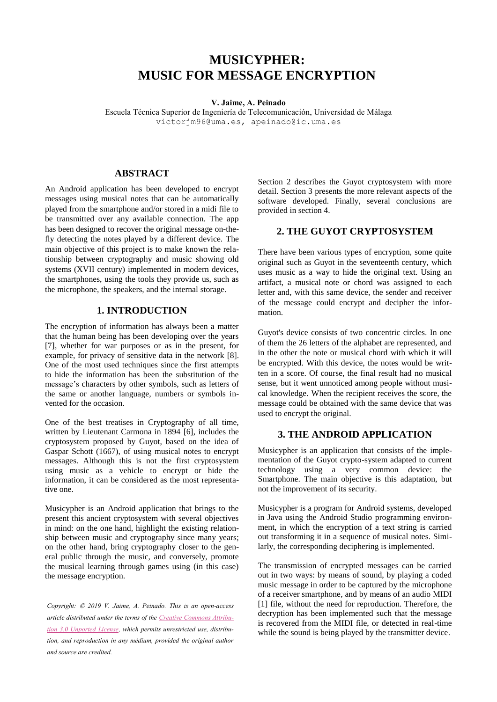# **MUSICYPHER: MUSIC FOR MESSAGE ENCRYPTION**

#### **V. Jaime, A. Peinado**

Escuela Técnica Superior de Ingeniería de Telecomunicación, Universidad de Málaga victorjm96@uma.es, apeinado@ic.uma.es

## **ABSTRACT**

An Android application has been developed to encrypt messages using musical notes that can be automatically played from the smartphone and/or stored in a midi file to be transmitted over any available connection. The app has been designed to recover the original message on-thefly detecting the notes played by a different device. The main objective of this project is to make known the relationship between cryptography and music showing old systems (XVII century) implemented in modern devices, the smartphones, using the tools they provide us, such as the microphone, the speakers, and the internal storage.

# **1. INTRODUCTION**

The encryption of information has always been a matter that the human being has been developing over the years [7], whether for war purposes or as in the present, for example, for privacy of sensitive data in the network [8]. One of the most used techniques since the first attempts to hide the information has been the substitution of the message's characters by other symbols, such as letters of the same or another language, numbers or symbols invented for the occasion.

One of the best treatises in Cryptography of all time, written by Lieutenant Carmona in 1894 [6], includes the cryptosystem proposed by Guyot, based on the idea of Gaspar Schott (1667), of using musical notes to encrypt messages. Although this is not the first cryptosystem using music as a vehicle to encrypt or hide the information, it can be considered as the most representative one.

Musicypher is an Android application that brings to the present this ancient cryptosystem with several objectives in mind: on the one hand, highlight the existing relationship between music and cryptography since many years; on the other hand, bring cryptography closer to the general public through the music, and conversely, promote the musical learning through games using (in this case) the message encryption.

*Copyright: 2019 V. Jaime, A. Peinado. This is an open-access article distributed under the terms of the Creative Commons Attribution 3.0 Unported License, which permits unrestricted use, distribution, and reproduction in any médium, provided the original author and source are credited.*

Section 2 describes the Guyot cryptosystem with more detail. Section 3 presents the more relevant aspects of the software developed. Finally, several conclusions are provided in section 4.

## **2. THE GUYOT CRYPTOSYSTEM**

There have been various types of encryption, some quite original such as Guyot in the seventeenth century, which uses music as a way to hide the original text. Using an artifact, a musical note or chord was assigned to each letter and, with this same device, the sender and receiver of the message could encrypt and decipher the information.

Guyot's device consists of two concentric circles. In one of them the 26 letters of the alphabet are represented, and in the other the note or musical chord with which it will be encrypted. With this device, the notes would be written in a score. Of course, the final result had no musical sense, but it went unnoticed among people without musical knowledge. When the recipient receives the score, the message could be obtained with the same device that was used to encrypt the original.

# **3. THE ANDROID APPLICATION**

Musicypher is an application that consists of the implementation of the Guyot crypto-system adapted to current technology using a very common device: the Smartphone. The main objective is this adaptation, but not the improvement of its security.

Musicypher is a program for Android systems, developed in Java using the Android Studio programming environment, in which the encryption of a text string is carried out transforming it in a sequence of musical notes. Similarly, the corresponding deciphering is implemented.

The transmission of encrypted messages can be carried out in two ways: by means of sound, by playing a coded music message in order to be captured by the microphone of a receiver smartphone, and by means of an audio MIDI [1] file, without the need for reproduction. Therefore, the decryption has been implemented such that the message is recovered from the MIDI file, or detected in real-time while the sound is being played by the transmitter device.